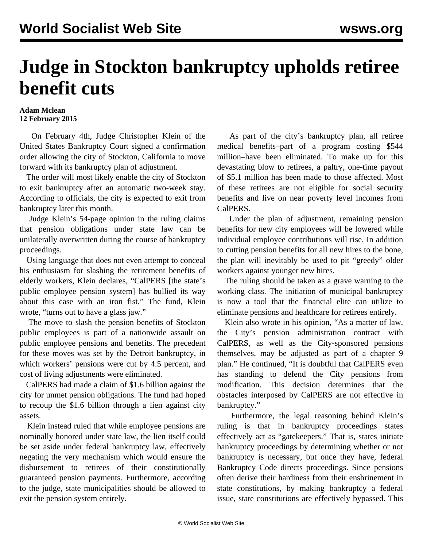## **Judge in Stockton bankruptcy upholds retiree benefit cuts**

## **Adam Mclean 12 February 2015**

 On February 4th, Judge Christopher Klein of the United States Bankruptcy Court signed a confirmation order allowing the city of Stockton, California to move forward with its bankruptcy plan of adjustment.

 The order will most likely enable the city of Stockton to exit bankruptcy after an automatic two-week stay. According to officials, the city is expected to exit from bankruptcy later this month.

 Judge Klein's 54-page opinion in the ruling claims that pension obligations under state law can be unilaterally overwritten during the course of bankruptcy proceedings.

 Using language that does not even attempt to conceal his enthusiasm for slashing the retirement benefits of elderly workers, Klein declares, "CalPERS [the state's public employee pension system] has bullied its way about this case with an iron fist." The fund, Klein wrote, "turns out to have a glass jaw."

 The move to slash the pension benefits of Stockton public employees is part of a nationwide assault on public employee pensions and benefits. The precedent for these moves was set by the Detroit bankruptcy, in which workers' pensions were cut by 4.5 percent, and cost of living adjustments were eliminated.

 CalPERS had made a claim of \$1.6 billion against the city for unmet pension obligations. The fund had hoped to recoup the \$1.6 billion through a lien against city assets.

 Klein instead ruled that while employee pensions are nominally honored under state law, the lien itself could be set aside under federal bankruptcy law, effectively negating the very mechanism which would ensure the disbursement to retirees of their constitutionally guaranteed pension payments. Furthermore, according to the judge, state municipalities should be allowed to exit the pension system entirely.

 As part of the city's bankruptcy plan, all retiree medical benefits–part of a program costing \$544 million–have been eliminated. To make up for this devastating blow to retirees, a paltry, one-time payout of \$5.1 million has been made to those affected. Most of these retirees are not eligible for social security benefits and live on near poverty level incomes from CalPERS.

 Under the plan of adjustment, remaining pension benefits for new city employees will be lowered while individual employee contributions will rise. In addition to cutting pension benefits for all new hires to the bone, the plan will inevitably be used to pit "greedy" older workers against younger new hires.

 The ruling should be taken as a grave warning to the working class. The initiation of municipal bankruptcy is now a tool that the financial elite can utilize to eliminate pensions and healthcare for retirees entirely.

 Klein also wrote in his opinion, "As a matter of law, the City's pension administration contract with CalPERS, as well as the City-sponsored pensions themselves, may be adjusted as part of a chapter 9 plan." He continued, "It is doubtful that CalPERS even has standing to defend the City pensions from modification. This decision determines that the obstacles interposed by CalPERS are not effective in bankruptcy."

 Furthermore, the legal reasoning behind Klein's ruling is that in bankruptcy proceedings states effectively act as "gatekeepers." That is, states initiate bankruptcy proceedings by determining whether or not bankruptcy is necessary, but once they have, federal Bankruptcy Code directs proceedings. Since pensions often derive their hardiness from their enshrinement in state constitutions, by making bankruptcy a federal issue, state constitutions are effectively bypassed. This